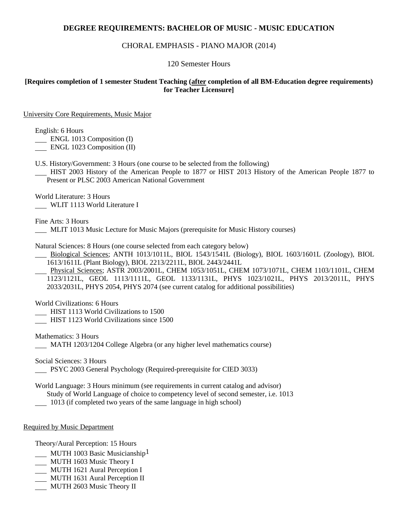# **DEGREE REQUIREMENTS: BACHELOR OF MUSIC - MUSIC EDUCATION**

## CHORAL EMPHASIS - PIANO MAJOR (2014)

#### 120 Semester Hours

## **[Requires completion of 1 semester Student Teaching (after completion of all BM-Education degree requirements) for Teacher Licensure]**

University Core Requirements, Music Major

English: 6 Hours

**ENGL 1013 Composition (I)** 

ENGL 1023 Composition (II)

U.S. History/Government: 3 Hours (one course to be selected from the following)

 HIST 2003 History of the American People to 1877 or HIST 2013 History of the American People 1877 to Present or PLSC 2003 American National Government

World Literature: 3 Hours WLIT 1113 World Literature I

Fine Arts: 3 Hours

MLIT 1013 Music Lecture for Music Majors (prerequisite for Music History courses)

Natural Sciences: 8 Hours (one course selected from each category below)

 Biological Sciences; ANTH 1013/1011L, BIOL 1543/1541L (Biology), BIOL 1603/1601L (Zoology), BIOL 1613/1611L (Plant Biology), BIOL 2213/2211L, BIOL 2443/2441L

 Physical Sciences; ASTR 2003/2001L, CHEM 1053/1051L, CHEM 1073/1071L, CHEM 1103/1101L, CHEM 1123/1121L, GEOL 1113/1111L, GEOL 1133/1131L, PHYS 1023/1021L, PHYS 2013/2011L, PHYS 2033/2031L, PHYS 2054, PHYS 2074 (see current catalog for additional possibilities)

World Civilizations: 6 Hours

HIST 1113 World Civilizations to 1500

HIST 1123 World Civilizations since 1500

Mathematics: 3 Hours MATH 1203/1204 College Algebra (or any higher level mathematics course)

Social Sciences: 3 Hours

PSYC 2003 General Psychology (Required-prerequisite for CIED 3033)

World Language: 3 Hours minimum (see requirements in current catalog and advisor) Study of World Language of choice to competency level of second semester, i.e. 1013

1013 (if completed two years of the same language in high school)

#### Required by Music Department

Theory/Aural Perception: 15 Hours

- MUTH 1003 Basic Musicianship<sup>1</sup>
- MUTH 1603 Music Theory I
- MUTH 1621 Aural Perception I
- MUTH 1631 Aural Perception II
- MUTH 2603 Music Theory II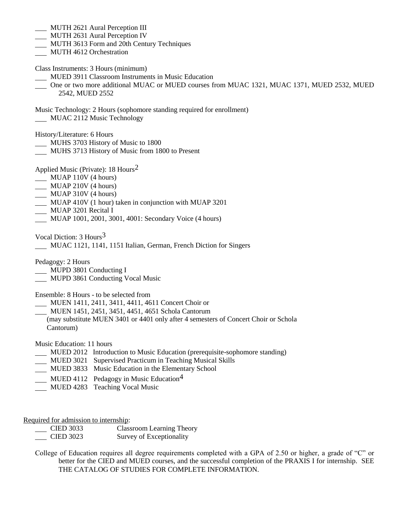- MUTH 2621 Aural Perception III
- MUTH 2631 Aural Perception IV
- MUTH 3613 Form and 20th Century Techniques
- MUTH 4612 Orchestration
- Class Instruments: 3 Hours (minimum)
- MUED 3911 Classroom Instruments in Music Education
- One or two more additional MUAC or MUED courses from MUAC 1321, MUAC 1371, MUED 2532, MUED 2542, MUED 2552
- Music Technology: 2 Hours (sophomore standing required for enrollment) MUAC 2112 Music Technology

History/Literature: 6 Hours

- MUHS 3703 History of Music to 1800
- MUHS 3713 History of Music from 1800 to Present
- Applied Music (Private): 18 Hours2
- MUAP 110V (4 hours)
- **MUAP 210V (4 hours)**
- MUAP 310V (4 hours)
- MUAP 410V (1 hour) taken in conjunction with MUAP 3201
- MUAP 3201 Recital I
- MUAP 1001, 2001, 3001, 4001: Secondary Voice (4 hours)

Vocal Diction: 3 Hours3

MUAC 1121, 1141, 1151 Italian, German, French Diction for Singers

Pedagogy: 2 Hours

- MUPD 3801 Conducting I
- **MUPD 3861 Conducting Vocal Music**

Ensemble: 8 Hours - to be selected from

- MUEN 1411, 2411, 3411, 4411, 4611 Concert Choir or
- MUEN 1451, 2451, 3451, 4451, 4651 Schola Cantorum
- (may substitute MUEN 3401 or 4401 only after 4 semesters of Concert Choir or Schola Cantorum)

Music Education: 11 hours

- MUED 2012 Introduction to Music Education (prerequisite-sophomore standing)
- MUED 3021 Supervised Practicum in Teaching Musical Skills
- MUED 3833 Music Education in the Elementary School
- MUED 4112 Pedagogy in Music Education<sup>4</sup>
- MUED 4283 Teaching Vocal Music

Required for admission to internship:

| <b>CIED 3033</b> | Classroom Learning Theory |  |  |
|------------------|---------------------------|--|--|
|                  |                           |  |  |

- CIED 3023 Survey of Exceptionality
- College of Education requires all degree requirements completed with a GPA of 2.50 or higher, a grade of "C" or better for the CIED and MUED courses, and the successful completion of the PRAXIS I for internship. SEE THE CATALOG OF STUDIES FOR COMPLETE INFORMATION.